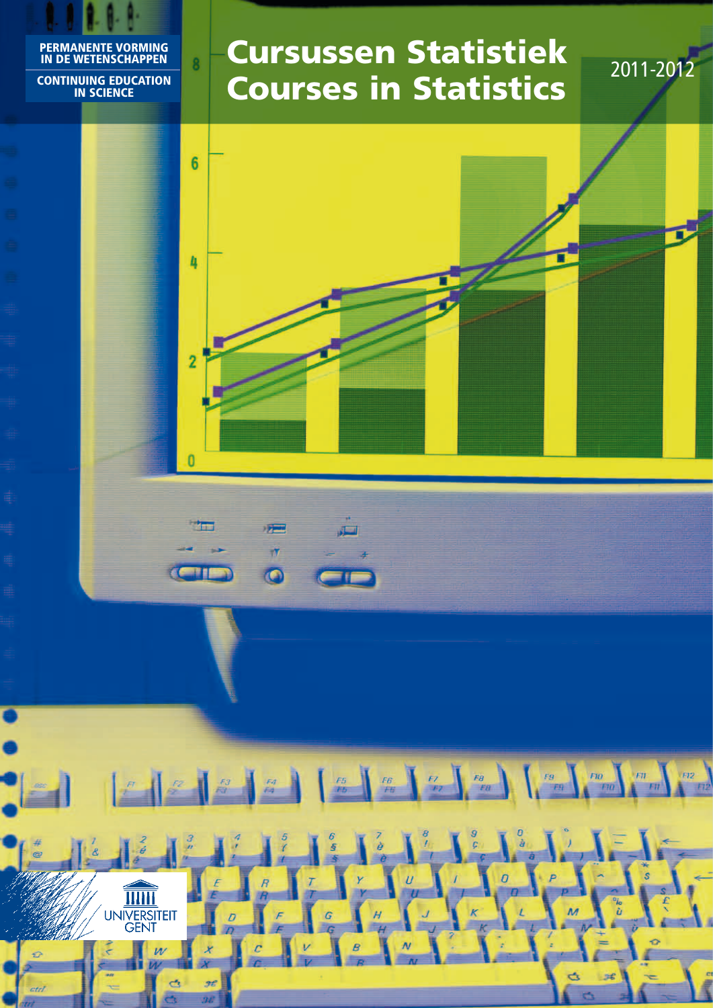#### Permanente Vorming in de wetenschappen Continuing Education in Science

**TITH** UNIVERSITEIT

 $\overline{w}$ 

qy.

 $\overline{\mathbf{g}}$ 

# Cursussen Statistiek **Cursussen Statistiek** 2011-2012

5£

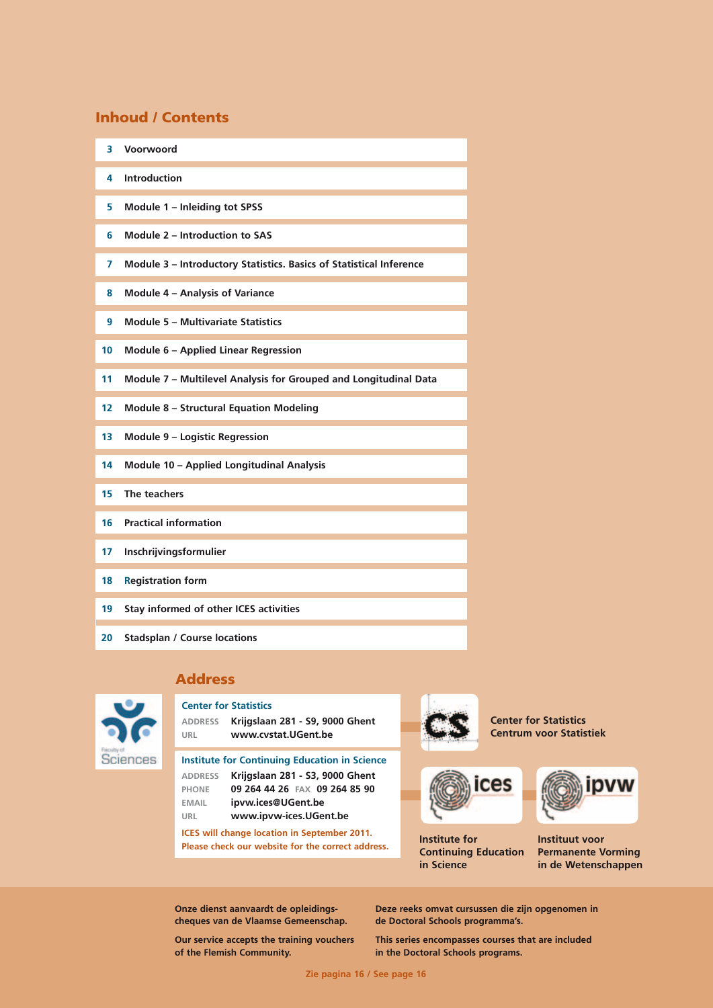### Inhoud / Contents

- **3 Voorwoord**
- **4 Introduction**
- **5 Module 1 Inleiding tot SPSS**
- **6 Module 2 Introduction to SAS**
- **7 Module 3 Introductory Statistics. Basics of Statistical Inference**
- **8 Module 4 Analysis of Variance**
- **9 Module 5 Multivariate Statistics**
- **10 Module 6 Applied Linear Regression**
- **11 Module 7 Multilevel Analysis for Grouped and Longitudinal Data**
- **12 Module 8 Structural Equation Modeling**
- **13 Module 9 Logistic Regression**
- **14 Module 10 Applied Longitudinal Analysis**
- **15 The teachers**
- **16 Practical information**
- **17 Inschrijvingsformulier**
- **18 Registration form**
- **19 Stay informed of other ICES activities**
- **20 Stadsplan / Course locations**

### Address

**Center for Statistics**



**address Krijgslaan 281 - S9, 9000 Ghent URL www.cvstat.UGent.be** 

**Institute for Continuing Education in Science address Krijgslaan 281 - S3, 9000 Ghent phone 09 264 44 26 FAX 09 264 85 90 email ipvw.ices@UGent.be URL www.ipvw-ices.UGent.be**

**ICES will change location in September 2011. Please check our website for the correct address.**





**Institute for Continuing Education in Science**



**Center for Statistics Centrum voor Statistiek**

> **Instituut voor Permanente Vorming in de Wetenschappen**

**Onze dienst aanvaardt de opleidingscheques van de Vlaamse Gemeenschap.**

**Our service accepts the training vouchers of the Flemish Community.**

**Deze reeks omvat cursussen die zijn opgenomen in de Doctoral Schools programma's.**

**This series encompasses courses that are included in the Doctoral Schools programs.**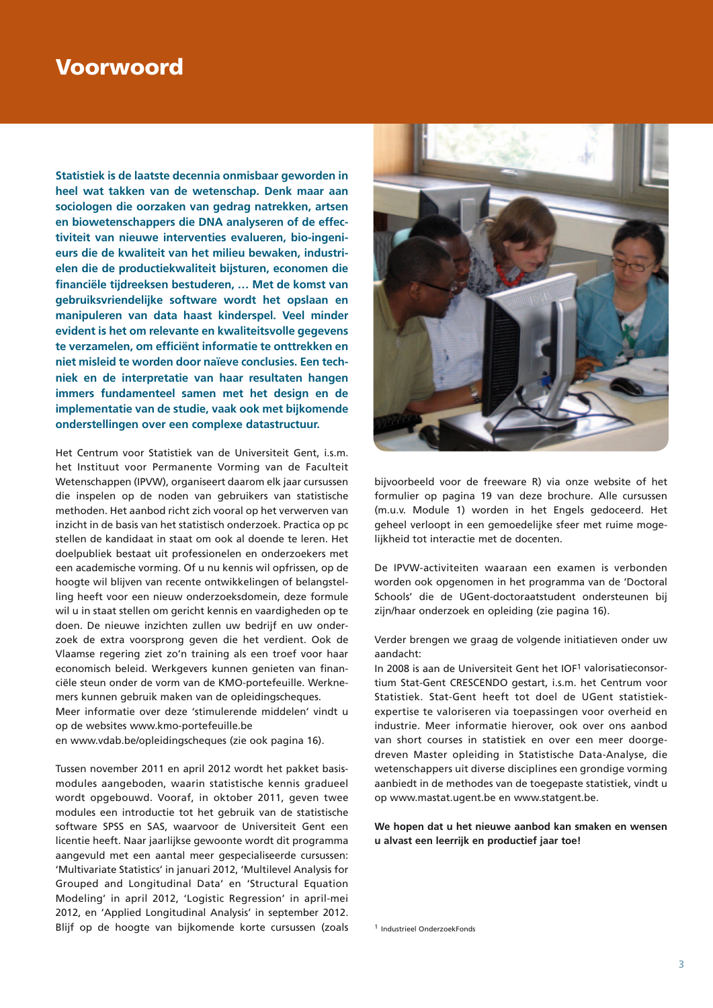### Voorwoord

**Statistiek is de laatste decennia onmisbaar geworden in heel wat takken van de wetenschap. Denk maar aan sociologen die oorzaken van gedrag natrekken, artsen en biowetenschappers die DNA analyseren of de effectiviteit van nieuwe interventies evalueren, bio-ingenieurs die de kwaliteit van het milieu bewaken, industriëlen die de productiekwaliteit bijsturen, economen die financiële tijdreeksen bestuderen, … Met de komst van gebruiksvriendelijke software wordt het opslaan en manipuleren van data haast kinderspel. Veel minder evident is het om relevante en kwaliteitsvolle gegevens te verzamelen, om efficiënt informatie te onttrekken en niet misleid te worden door naïeve conclusies. Een techniek en de interpretatie van haar resultaten hangen immers fundamenteel samen met het design en de implementatie van de studie, vaak ook met bijkomende onderstellingen over een complexe datastructuur.**

Het Centrum voor Statistiek van de Universiteit Gent, i.s.m. het Instituut voor Permanente Vorming van de Faculteit Wetenschappen (IPVW), organiseert daarom elk jaar cursussen die inspelen op de noden van gebruikers van statistische methoden. Het aanbod richt zich vooral op het verwerven van inzicht in de basis van het statistisch onderzoek. Practica op pc stellen de kandidaat in staat om ook al doende te leren. Het doelpubliek bestaat uit professionelen en onderzoekers met een academische vorming. Of u nu kennis wil opfrissen, op de hoogte wil blijven van recente ontwikkelingen of belangstelling heeft voor een nieuw onderzoeksdomein, deze formule wil u in staat stellen om gericht kennis en vaardigheden op te doen. De nieuwe inzichten zullen uw bedrijf en uw onderzoek de extra voorsprong geven die het verdient. Ook de Vlaamse regering ziet zo'n training als een troef voor haar economisch beleid. Werkgevers kunnen genieten van financiële steun onder de vorm van de KMO-portefeuille. Werknemers kunnen gebruik maken van de opleidingscheques.

Meer informatie over deze 'stimulerende middelen' vindt u op de websites www.kmo-portefeuille.be

en www.vdab.be/opleidingscheques (zie ook pagina 16).

Tussen november 2011 en april 2012 wordt het pakket basismodules aangeboden, waarin statistische kennis gradueel wordt opgebouwd. Vooraf, in oktober 2011, geven twee modules een introductie tot het gebruik van de statistische software SPSS en SAS, waarvoor de Universiteit Gent een licentie heeft. Naar jaarlijkse gewoonte wordt dit programma aangevuld met een aantal meer gespecialiseerde cursussen: 'Multivariate Statistics' in januari 2012, 'Multilevel Analysis for Grouped and Longitudinal Data' en 'Structural Equation Modeling' in april 2012, 'Logistic Regression' in april-mei 2012, en 'Applied Longitudinal Analysis' in september 2012. Blijf op de hoogte van bijkomende korte cursussen (zoals



bijvoorbeeld voor de freeware R) via onze website of het formulier op pagina 19 van deze brochure. Alle cursussen (m.u.v. Module 1) worden in het Engels gedoceerd. Het geheel verloopt in een gemoedelijke sfeer met ruime mogelijkheid tot interactie met de docenten.

De IPVW-activiteiten waaraan een examen is verbonden worden ook opgenomen in het programma van de 'Doctoral Schools' die de UGent-doctoraatstudent ondersteunen bij zijn/haar onderzoek en opleiding (zie pagina 16).

Verder brengen we graag de volgende initiatieven onder uw aandacht:

In 2008 is aan de Universiteit Gent het IOF1 valorisatieconsortium Stat-Gent CRESCENDO gestart, i.s.m. het Centrum voor Statistiek. Stat-Gent heeft tot doel de UGent statistiekexpertise te valoriseren via toepassingen voor overheid en industrie. Meer informatie hierover, ook over ons aanbod van short courses in statistiek en over een meer doorgedreven Master opleiding in Statistische Data-Analyse, die wetenschappers uit diverse disciplines een grondige vorming aanbiedt in de methodes van de toegepaste statistiek, vindt u op www.mastat.ugent.be en www.statgent.be.

**We hopen dat u het nieuwe aanbod kan smaken en wensen u alvast een leerrijk en productief jaar toe!**

<sup>1</sup> Industrieel OnderzoekFonds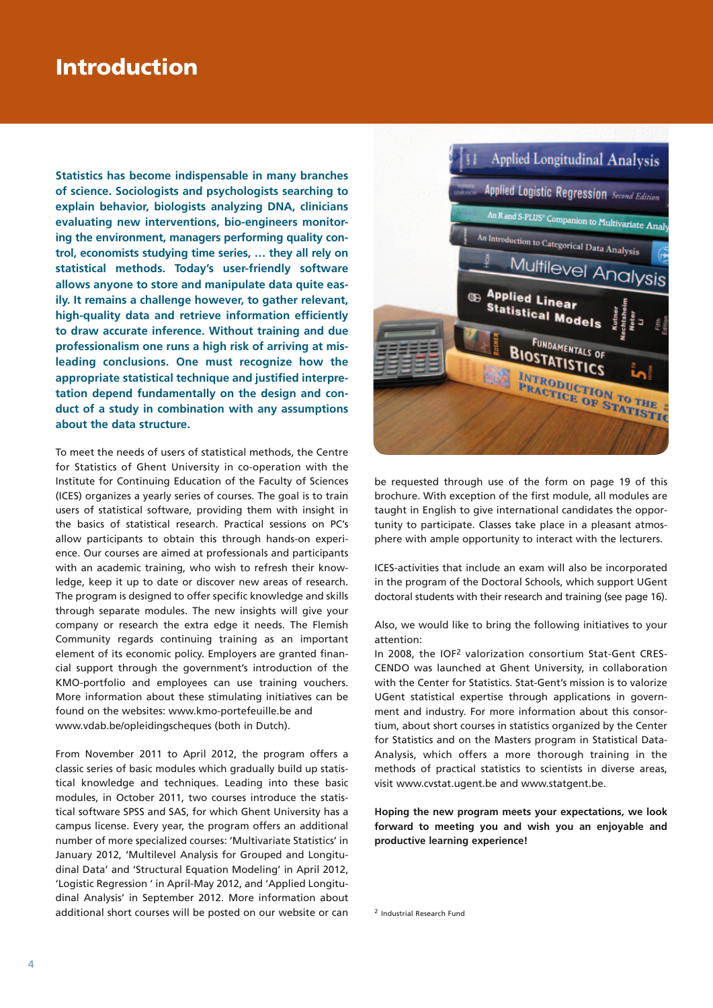## Introduction

**Statistics has become indispensable in many branches of science. Sociologists and psychologists searching to explain behavior, biologists analyzing DNA, clinicians evaluating new interventions, bio-engineers monitoring the environment, managers performing quality control, economists studying time series, … they all rely on statistical methods. Today's user-friendly software allows anyone to store and manipulate data quite easily. It remains a challenge however, to gather relevant, high-quality data and retrieve information efficiently to draw accurate inference. Without training and due professionalism one runs a high risk of arriving at misleading conclusions. One must recognize how the appropriate statistical technique and justified interpretation depend fundamentally on the design and conduct of a study in combination with any assumptions about the data structure.**

To meet the needs of users of statistical methods, the Centre for Statistics of Ghent University in co-operation with the Institute for Continuing Education of the Faculty of Sciences (ICES) organizes a yearly series of courses. The goal is to train users of statistical software, providing them with insight in the basics of statistical research. Practical sessions on PC's allow participants to obtain this through hands-on experience. Our courses are aimed at professionals and participants with an academic training, who wish to refresh their knowledge, keep it up to date or discover new areas of research. The program is designed to offer specific knowledge and skills through separate modules. The new insights will give your company or research the extra edge it needs. The Flemish Community regards continuing training as an important element of its economic policy. Employers are granted financial support through the government's introduction of the KMO-portfolio and employees can use training vouchers. More information about these stimulating initiatives can be found on the websites: www.kmo-portefeuille.be and www.vdab.be/opleidingscheques (both in Dutch).

From November 2011 to April 2012, the program offers a classic series of basic modules which gradually build up statistical knowledge and techniques. Leading into these basic modules, in October 2011, two courses introduce the statistical software SPSS and SAS, for which Ghent University has a campus license. Every year, the program offers an additional number of more specialized courses: 'Multivariate Statistics' in January 2012, 'Multilevel Analysis for Grouped and Longitudinal Data' and 'Structural Equation Modeling' in April 2012, 'Logistic Regression ' in April-May 2012, and 'Applied Longitudinal Analysis' in September 2012. More information about additional short courses will be posted on our website or can



be requested through use of the form on page 19 of this brochure. With exception of the first module, all modules are taught in English to give international candidates the opportunity to participate. Classes take place in a pleasant atmosphere with ample opportunity to interact with the lecturers.

ICES-activities that include an exam will also be incorporated in the program of the Doctoral Schools, which support UGent doctoral students with their research and training (see page 16).

Also, we would like to bring the following initiatives to your attention:

In 2008, the IOF2 valorization consortium Stat-Gent CRES-CENDO was launched at Ghent University, in collaboration with the Center for Statistics. Stat-Gent's mission is to valorize UGent statistical expertise through applications in government and industry. For more information about this consortium, about short courses in statistics organized by the Center for Statistics and on the Masters program in Statistical Data-Analysis, which offers a more thorough training in the methods of practical statistics to scientists in diverse areas, visit www.cvstat.ugent.be and www.statgent.be.

**Hoping the new program meets your expectations, we look forward to meeting you and wish you an enjoyable and productive learning experience!**

<sup>2</sup> Industrial Research Fund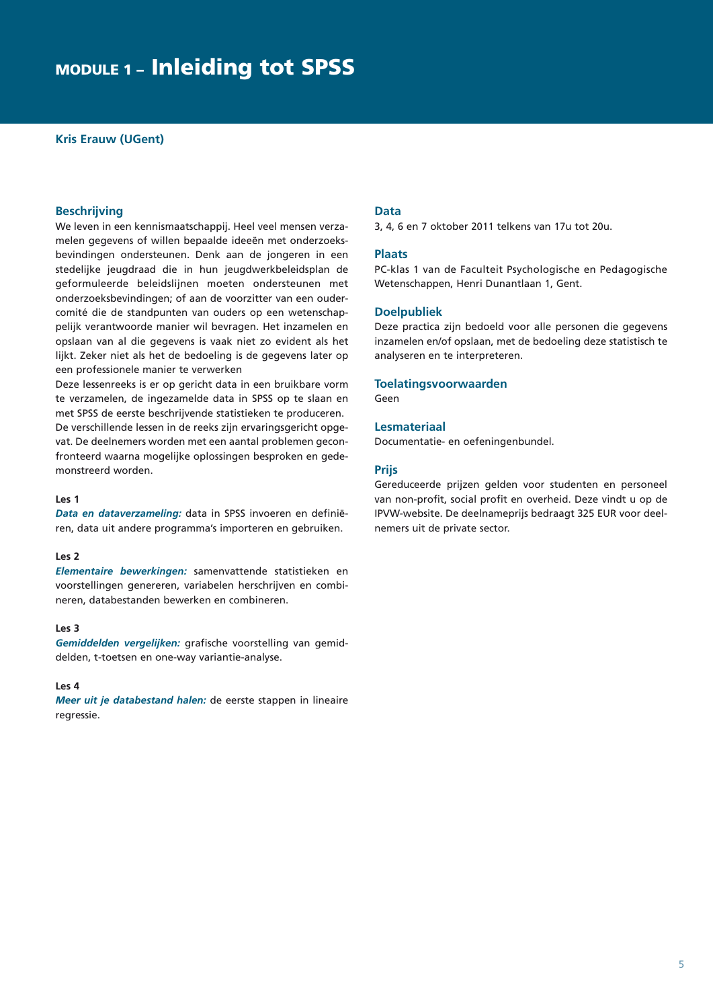### module 1 – Inleiding tot SPSS

#### **Kris Erauw (UGent)**

#### **Beschrijving**

We leven in een kennismaatschappij. Heel veel mensen verzamelen gegevens of willen bepaalde ideeën met onderzoeksbevindingen ondersteunen. Denk aan de jongeren in een stedelijke jeugdraad die in hun jeugdwerkbeleidsplan de geformuleerde beleidslijnen moeten ondersteunen met onderzoeksbevindingen; of aan de voorzitter van een oudercomité die de standpunten van ouders op een wetenschappelijk verantwoorde manier wil bevragen. Het inzamelen en opslaan van al die gegevens is vaak niet zo evident als het lijkt. Zeker niet als het de bedoeling is de gegevens later op een professionele manier te verwerken

Deze lessenreeks is er op gericht data in een bruikbare vorm te verzamelen, de ingezamelde data in SPSS op te slaan en met SPSS de eerste beschrijvende statistieken te produceren. De verschillende lessen in de reeks zijn ervaringsgericht opgevat. De deelnemers worden met een aantal problemen geconfronteerd waarna mogelijke oplossingen besproken en gedemonstreerd worden.

#### **Les 1**

*Data en dataverzameling:* data in SPSS invoeren en definiëren, data uit andere programma's importeren en gebruiken.

#### **Les 2**

*Elementaire bewerkingen:* samenvattende statistieken en voorstellingen genereren, variabelen herschrijven en combineren, databestanden bewerken en combineren.

#### **Les 3**

*Gemiddelden vergelijken:* grafische voorstelling van gemiddelden, t-toetsen en one-way variantie-analyse.

#### **Les 4**

*Meer uit je databestand halen:* de eerste stappen in lineaire regressie.

#### **Data**

3, 4, 6 en 7 oktober 2011 telkens van 17u tot 20u.

#### **Plaats**

PC-klas 1 van de Faculteit Psychologische en Pedagogische Wetenschappen, Henri Dunantlaan 1, Gent.

#### **Doelpubliek**

Deze practica zijn bedoeld voor alle personen die gegevens inzamelen en/of opslaan, met de bedoeling deze statistisch te analyseren en te interpreteren.

#### **Toelatingsvoorwaarden**

Geen

#### **Lesmateriaal**

Documentatie- en oefeningenbundel.

#### **Prijs**

Gereduceerde prijzen gelden voor studenten en personeel van non-profit, social profit en overheid. Deze vindt u op de IPVW-website. De deelnameprijs bedraagt 325 EUR voor deelnemers uit de private sector.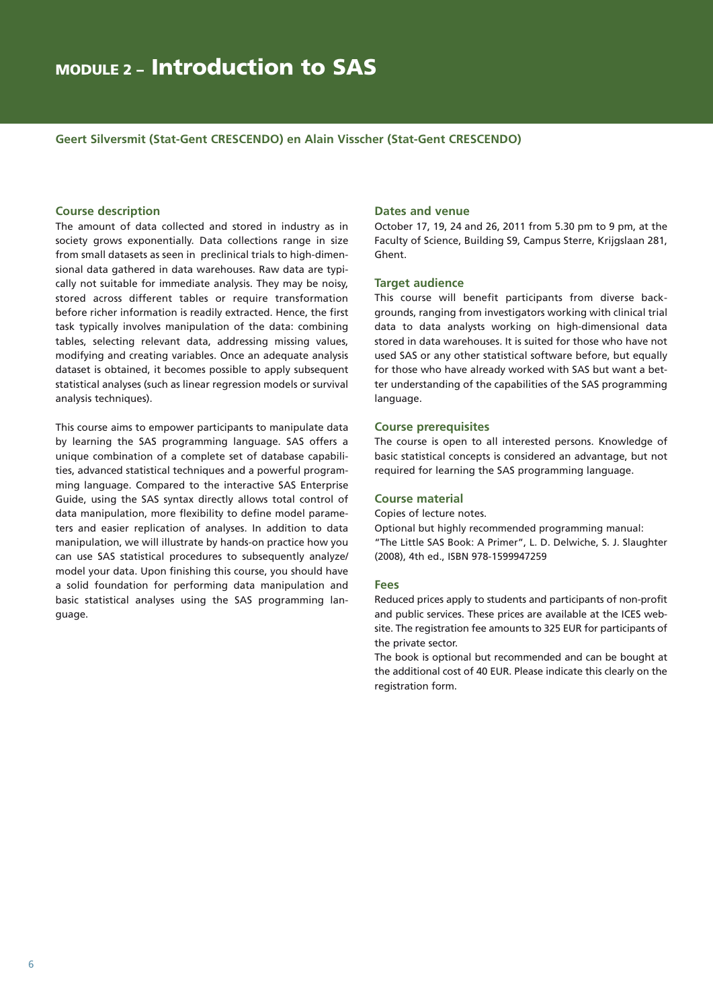**Geert Silversmit (Stat-Gent CRESCENDO) en Alain Visscher (Stat-Gent CRESCENDO)**

#### **Course description**

The amount of data collected and stored in industry as in society grows exponentially. Data collections range in size from small datasets as seen in preclinical trials to high-dimensional data gathered in data warehouses. Raw data are typically not suitable for immediate analysis. They may be noisy, stored across different tables or require transformation before richer information is readily extracted. Hence, the first task typically involves manipulation of the data: combining tables, selecting relevant data, addressing missing values, modifying and creating variables. Once an adequate analysis dataset is obtained, it becomes possible to apply subsequent statistical analyses (such as linear regression models or survival analysis techniques).

This course aims to empower participants to manipulate data by learning the SAS programming language. SAS offers a unique combination of a complete set of database capabilities, advanced statistical techniques and a powerful programming language. Compared to the interactive SAS Enterprise Guide, using the SAS syntax directly allows total control of data manipulation, more flexibility to define model parameters and easier replication of analyses. In addition to data manipulation, we will illustrate by hands-on practice how you can use SAS statistical procedures to subsequently analyze/ model your data. Upon finishing this course, you should have a solid foundation for performing data manipulation and basic statistical analyses using the SAS programming language.

#### **Dates and venue**

October 17, 19, 24 and 26, 2011 from 5.30 pm to 9 pm, at the Faculty of Science, Building S9, Campus Sterre, Krijgslaan 281, Ghent.

#### **Target audience**

This course will benefit participants from diverse backgrounds, ranging from investigators working with clinical trial data to data analysts working on high-dimensional data stored in data warehouses. It is suited for those who have not used SAS or any other statistical software before, but equally for those who have already worked with SAS but want a better understanding of the capabilities of the SAS programming language.

#### **Course prerequisites**

The course is open to all interested persons. Knowledge of basic statistical concepts is considered an advantage, but not required for learning the SAS programming language.

#### **Course material**

Copies of lecture notes.

Optional but highly recommended programming manual: "The Little SAS Book: A Primer", L. D. Delwiche, S. J. Slaughter (2008), 4th ed., ISBN 978-1599947259

#### **Fees**

Reduced prices apply to students and participants of non-profit and public services. These prices are available at the ICES website. The registration fee amounts to 325 EUR for participants of the private sector.

The book is optional but recommended and can be bought at the additional cost of 40 EUR. Please indicate this clearly on the registration form.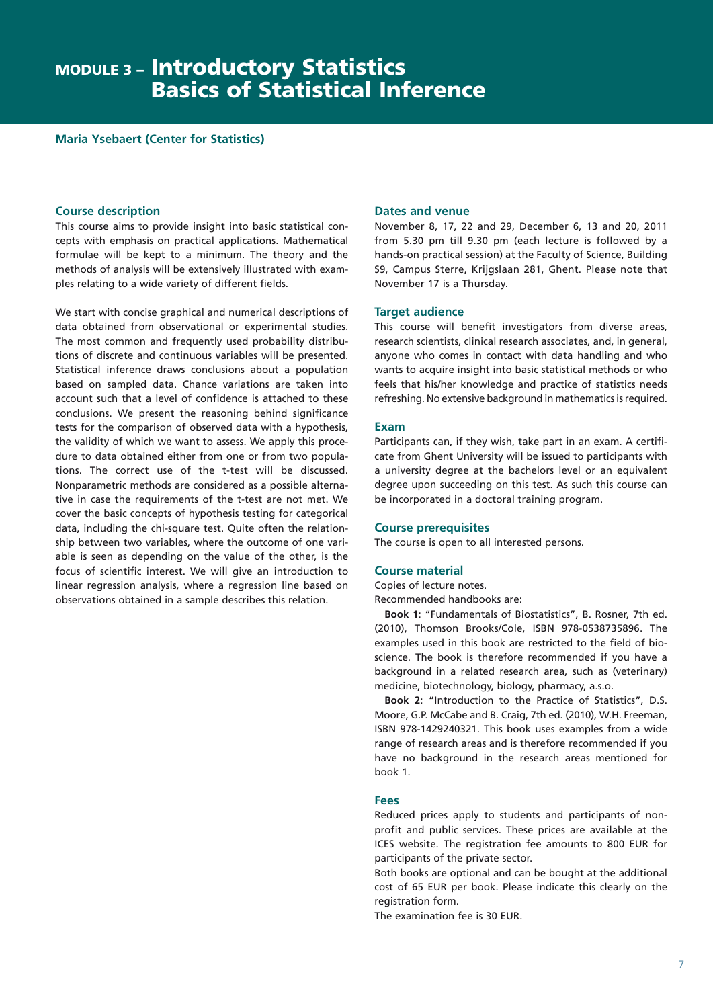**Maria Ysebaert (Center for Statistics)**

#### **Course description**

This course aims to provide insight into basic statistical concepts with emphasis on practical applications. Mathematical formulae will be kept to a minimum. The theory and the methods of analysis will be extensively illustrated with examples relating to a wide variety of different fields.

We start with concise graphical and numerical descriptions of data obtained from observational or experimental studies. The most common and frequently used probability distributions of discrete and continuous variables will be presented. Statistical inference draws conclusions about a population based on sampled data. Chance variations are taken into account such that a level of confidence is attached to these conclusions. We present the reasoning behind significance tests for the comparison of observed data with a hypothesis, the validity of which we want to assess. We apply this procedure to data obtained either from one or from two populations. The correct use of the t-test will be discussed. Nonparametric methods are considered as a possible alternative in case the requirements of the t-test are not met. We cover the basic concepts of hypothesis testing for categorical data, including the chi-square test. Quite often the relationship between two variables, where the outcome of one variable is seen as depending on the value of the other, is the focus of scientific interest. We will give an introduction to linear regression analysis, where a regression line based on observations obtained in a sample describes this relation.

#### **Dates and venue**

November 8, 17, 22 and 29, December 6, 13 and 20, 2011 from 5.30 pm till 9.30 pm (each lecture is followed by a hands-on practical session) at the Faculty of Science, Building S9, Campus Sterre, Krijgslaan 281, Ghent. Please note that November 17 is a Thursday.

#### **Target audience**

This course will benefit investigators from diverse areas, research scientists, clinical research associates, and, in general, anyone who comes in contact with data handling and who wants to acquire insight into basic statistical methods or who feels that his/her knowledge and practice of statistics needs refreshing. No extensive background in mathematics is required.

#### **Exam**

Participants can, if they wish, take part in an exam. A certificate from Ghent University will be issued to participants with a university degree at the bachelors level or an equivalent degree upon succeeding on this test. As such this course can be incorporated in a doctoral training program.

#### **Course prerequisites**

The course is open to all interested persons.

#### **Course material**

Copies of lecture notes.

Recommended handbooks are:

**Book 1**: "Fundamentals of Biostatistics", B. Rosner, 7th ed. (2010), Thomson Brooks/Cole, ISBN 978-0538735896. The examples used in this book are restricted to the field of bioscience. The book is therefore recommended if you have a background in a related research area, such as (veterinary) medicine, biotechnology, biology, pharmacy, a.s.o.

**Book 2**: "Introduction to the Practice of Statistics", D.S. Moore, G.P. McCabe and B. Craig, 7th ed. (2010), W.H. Freeman, ISBN 978-1429240321. This book uses examples from a wide range of research areas and is therefore recommended if you have no background in the research areas mentioned for book 1.

#### **Fees**

Reduced prices apply to students and participants of nonprofit and public services. These prices are available at the ICES website. The registration fee amounts to 800 EUR for participants of the private sector.

Both books are optional and can be bought at the additional cost of 65 EUR per book. Please indicate this clearly on the registration form.

The examination fee is 30 EUR.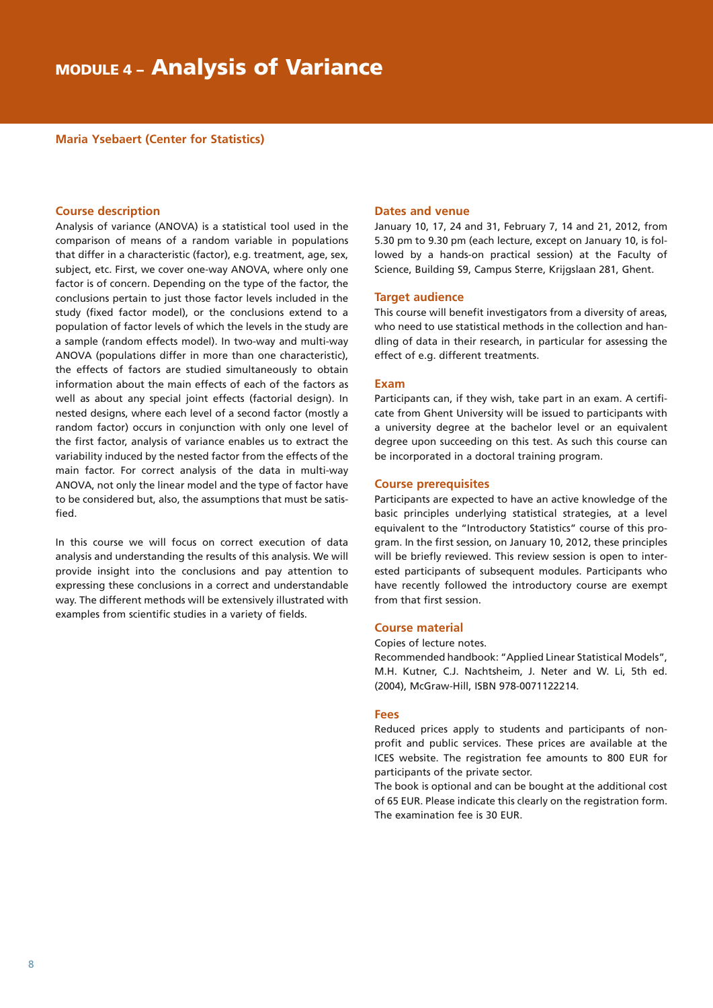**Maria Ysebaert (Center for Statistics)**

#### **Course description**

Analysis of variance (ANOVA) is a statistical tool used in the comparison of means of a random variable in populations that differ in a characteristic (factor), e.g. treatment, age, sex, subject, etc. First, we cover one-way ANOVA, where only one factor is of concern. Depending on the type of the factor, the conclusions pertain to just those factor levels included in the study (fixed factor model), or the conclusions extend to a population of factor levels of which the levels in the study are a sample (random effects model). In two-way and multi-way ANOVA (populations differ in more than one characteristic), the effects of factors are studied simultaneously to obtain information about the main effects of each of the factors as well as about any special joint effects (factorial design). In nested designs, where each level of a second factor (mostly a random factor) occurs in conjunction with only one level of the first factor, analysis of variance enables us to extract the variability induced by the nested factor from the effects of the main factor. For correct analysis of the data in multi-way ANOVA, not only the linear model and the type of factor have to be considered but, also, the assumptions that must be satisfied.

In this course we will focus on correct execution of data analysis and understanding the results of this analysis. We will provide insight into the conclusions and pay attention to expressing these conclusions in a correct and understandable way. The different methods will be extensively illustrated with examples from scientific studies in a variety of fields.

#### **Dates and venue**

January 10, 17, 24 and 31, February 7, 14 and 21, 2012, from 5.30 pm to 9.30 pm (each lecture, except on January 10, is followed by a hands-on practical session) at the Faculty of Science, Building S9, Campus Sterre, Krijgslaan 281, Ghent.

#### **Target audience**

This course will benefit investigators from a diversity of areas, who need to use statistical methods in the collection and handling of data in their research, in particular for assessing the effect of e.g. different treatments.

#### **Exam**

Participants can, if they wish, take part in an exam. A certificate from Ghent University will be issued to participants with a university degree at the bachelor level or an equivalent degree upon succeeding on this test. As such this course can be incorporated in a doctoral training program.

#### **Course prerequisites**

Participants are expected to have an active knowledge of the basic principles underlying statistical strategies, at a level equivalent to the "Introductory Statistics" course of this program. In the first session, on January 10, 2012, these principles will be briefly reviewed. This review session is open to interested participants of subsequent modules. Participants who have recently followed the introductory course are exempt from that first session.

#### **Course material**

#### Copies of lecture notes.

Recommended handbook: "Applied Linear Statistical Models", M.H. Kutner, C.J. Nachtsheim, J. Neter and W. Li, 5th ed. (2004), McGraw-Hill, ISBN 978-0071122214.

#### **Fees**

Reduced prices apply to students and participants of nonprofit and public services. These prices are available at the ICES website. The registration fee amounts to 800 EUR for participants of the private sector.

The book is optional and can be bought at the additional cost of 65 EUR. Please indicate this clearly on the registration form. The examination fee is 30 EUR.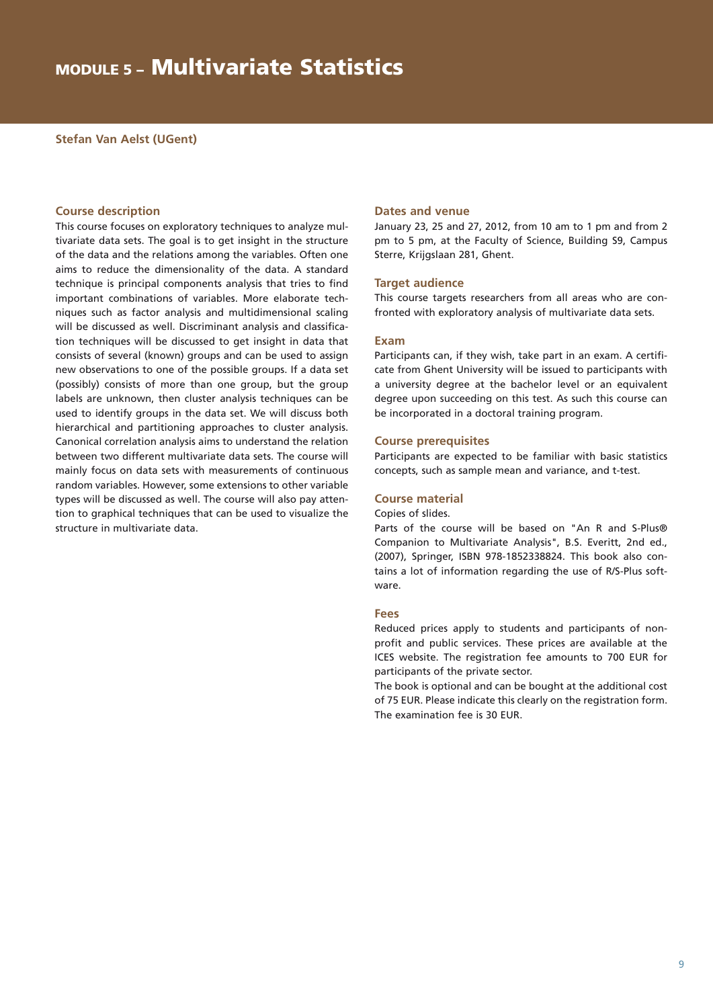#### **Stefan Van Aelst (UGent)**

#### **Course description**

This course focuses on exploratory techniques to analyze multivariate data sets. The goal is to get insight in the structure of the data and the relations among the variables. Often one aims to reduce the dimensionality of the data. A standard technique is principal components analysis that tries to find important combinations of variables. More elaborate techniques such as factor analysis and multidimensional scaling will be discussed as well. Discriminant analysis and classification techniques will be discussed to get insight in data that consists of several (known) groups and can be used to assign new observations to one of the possible groups. If a data set (possibly) consists of more than one group, but the group labels are unknown, then cluster analysis techniques can be used to identify groups in the data set. We will discuss both hierarchical and partitioning approaches to cluster analysis. Canonical correlation analysis aims to understand the relation between two different multivariate data sets. The course will mainly focus on data sets with measurements of continuous random variables. However, some extensions to other variable types will be discussed as well. The course will also pay attention to graphical techniques that can be used to visualize the structure in multivariate data.

#### **Dates and venue**

January 23, 25 and 27, 2012, from 10 am to 1 pm and from 2 pm to 5 pm, at the Faculty of Science, Building S9, Campus Sterre, Krijgslaan 281, Ghent.

#### **Target audience**

This course targets researchers from all areas who are confronted with exploratory analysis of multivariate data sets.

#### **Exam**

Participants can, if they wish, take part in an exam. A certificate from Ghent University will be issued to participants with a university degree at the bachelor level or an equivalent degree upon succeeding on this test. As such this course can be incorporated in a doctoral training program.

#### **Course prerequisites**

Participants are expected to be familiar with basic statistics concepts, such as sample mean and variance, and t-test.

#### **Course material**

Copies of slides.

Parts of the course will be based on "An R and S-Plus® Companion to Multivariate Analysis", B.S. Everitt, 2nd ed., (2007), Springer, ISBN 978-1852338824. This book also contains a lot of information regarding the use of R/S-Plus software.

#### **Fees**

Reduced prices apply to students and participants of nonprofit and public services. These prices are available at the ICES website. The registration fee amounts to 700 EUR for participants of the private sector.

The book is optional and can be bought at the additional cost of 75 EUR. Please indicate this clearly on the registration form. The examination fee is 30 EUR.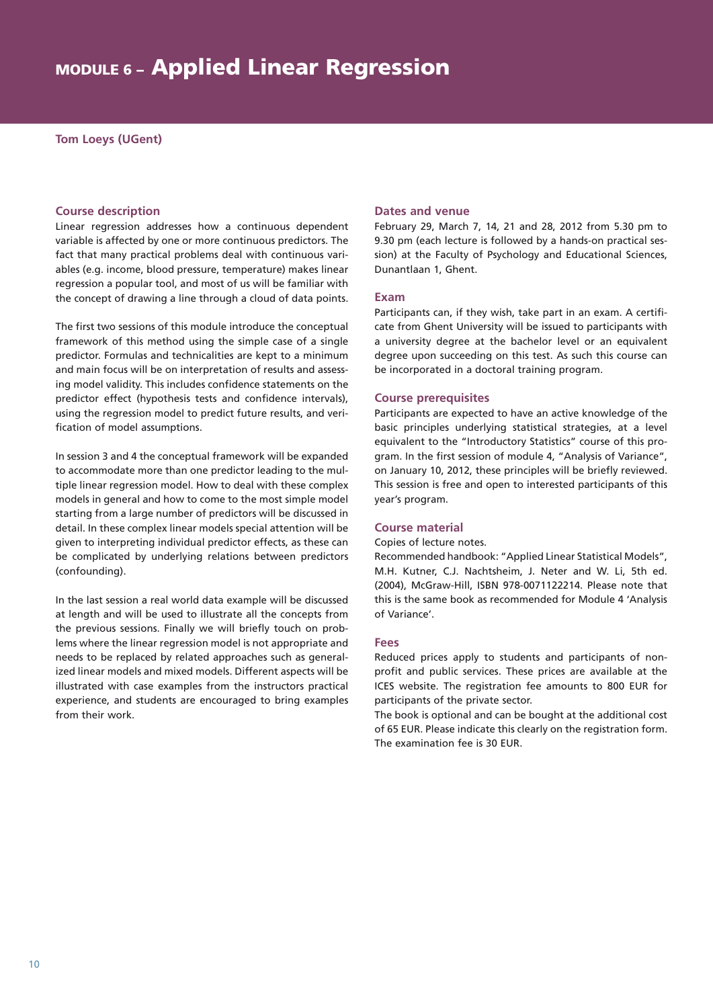#### **Tom Loeys (UGent)**

#### **Course description**

Linear regression addresses how a continuous dependent variable is affected by one or more continuous predictors. The fact that many practical problems deal with continuous variables (e.g. income, blood pressure, temperature) makes linear regression a popular tool, and most of us will be familiar with the concept of drawing a line through a cloud of data points.

The first two sessions of this module introduce the conceptual framework of this method using the simple case of a single predictor. Formulas and technicalities are kept to a minimum and main focus will be on interpretation of results and assessing model validity. This includes confidence statements on the predictor effect (hypothesis tests and confidence intervals), using the regression model to predict future results, and verification of model assumptions.

In session 3 and 4 the conceptual framework will be expanded to accommodate more than one predictor leading to the multiple linear regression model. How to deal with these complex models in general and how to come to the most simple model starting from a large number of predictors will be discussed in detail. In these complex linear models special attention will be given to interpreting individual predictor effects, as these can be complicated by underlying relations between predictors (confounding).

In the last session a real world data example will be discussed at length and will be used to illustrate all the concepts from the previous sessions. Finally we will briefly touch on problems where the linear regression model is not appropriate and needs to be replaced by related approaches such as generalized linear models and mixed models. Different aspects will be illustrated with case examples from the instructors practical experience, and students are encouraged to bring examples from their work.

#### **Dates and venue**

February 29, March 7, 14, 21 and 28, 2012 from 5.30 pm to 9.30 pm (each lecture is followed by a hands-on practical session) at the Faculty of Psychology and Educational Sciences, Dunantlaan 1, Ghent.

#### **Exam**

Participants can, if they wish, take part in an exam. A certificate from Ghent University will be issued to participants with a university degree at the bachelor level or an equivalent degree upon succeeding on this test. As such this course can be incorporated in a doctoral training program.

#### **Course prerequisites**

Participants are expected to have an active knowledge of the basic principles underlying statistical strategies, at a level equivalent to the "Introductory Statistics" course of this program. In the first session of module 4, "Analysis of Variance", on January 10, 2012, these principles will be briefly reviewed. This session is free and open to interested participants of this year's program.

#### **Course material**

#### Copies of lecture notes.

Recommended handbook: "Applied Linear Statistical Models", M.H. Kutner, C.J. Nachtsheim, J. Neter and W. Li, 5th ed. (2004), McGraw-Hill, ISBN 978-0071122214. Please note that this is the same book as recommended for Module 4 'Analysis of Variance'.

#### **Fees**

Reduced prices apply to students and participants of nonprofit and public services. These prices are available at the ICES website. The registration fee amounts to 800 EUR for participants of the private sector.

The book is optional and can be bought at the additional cost of 65 EUR. Please indicate this clearly on the registration form. The examination fee is 30 EUR.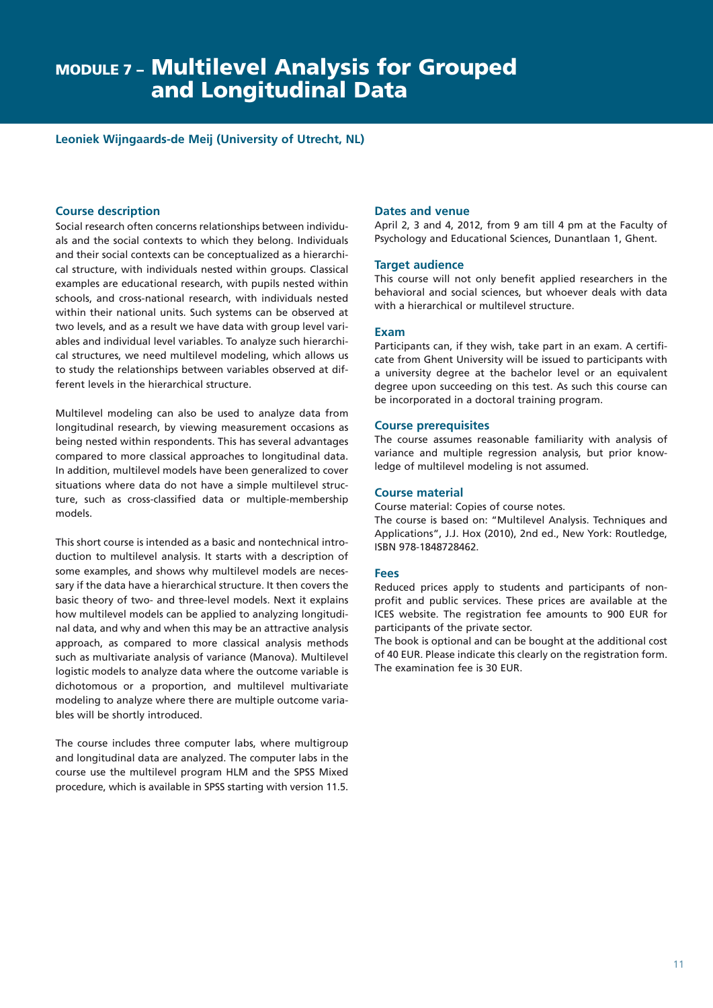#### **Leoniek Wijngaards-de Meij (University of Utrecht, NL)**

#### **Course description**

Social research often concerns relationships between individuals and the social contexts to which they belong. Individuals and their social contexts can be conceptualized as a hierarchical structure, with individuals nested within groups. Classical examples are educational research, with pupils nested within schools, and cross-national research, with individuals nested within their national units. Such systems can be observed at two levels, and as a result we have data with group level variables and individual level variables. To analyze such hierarchical structures, we need multilevel modeling, which allows us to study the relationships between variables observed at different levels in the hierarchical structure.

Multilevel modeling can also be used to analyze data from longitudinal research, by viewing measurement occasions as being nested within respondents. This has several advantages compared to more classical approaches to longitudinal data. In addition, multilevel models have been generalized to cover situations where data do not have a simple multilevel structure, such as cross-classified data or multiple-membership models.

This short course is intended as a basic and nontechnical introduction to multilevel analysis. It starts with a description of some examples, and shows why multilevel models are necessary if the data have a hierarchical structure. It then covers the basic theory of two- and three-level models. Next it explains how multilevel models can be applied to analyzing longitudinal data, and why and when this may be an attractive analysis approach, as compared to more classical analysis methods such as multivariate analysis of variance (Manova). Multilevel logistic models to analyze data where the outcome variable is dichotomous or a proportion, and multilevel multivariate modeling to analyze where there are multiple outcome variables will be shortly introduced.

The course includes three computer labs, where multigroup and longitudinal data are analyzed. The computer labs in the course use the multilevel program HLM and the SPSS Mixed procedure, which is available in SPSS starting with version 11.5.

#### **Dates and venue**

April 2, 3 and 4, 2012, from 9 am till 4 pm at the Faculty of Psychology and Educational Sciences, Dunantlaan 1, Ghent.

#### **Target audience**

This course will not only benefit applied researchers in the behavioral and social sciences, but whoever deals with data with a hierarchical or multilevel structure.

#### **Exam**

Participants can, if they wish, take part in an exam. A certificate from Ghent University will be issued to participants with a university degree at the bachelor level or an equivalent degree upon succeeding on this test. As such this course can be incorporated in a doctoral training program.

#### **Course prerequisites**

The course assumes reasonable familiarity with analysis of variance and multiple regression analysis, but prior knowledge of multilevel modeling is not assumed.

#### **Course material**

Course material: Copies of course notes.

The course is based on: "Multilevel Analysis. Techniques and Applications", J.J. Hox (2010), 2nd ed., New York: Routledge, ISBN 978-1848728462.

#### **Fees**

Reduced prices apply to students and participants of nonprofit and public services. These prices are available at the ICES website. The registration fee amounts to 900 EUR for participants of the private sector.

The book is optional and can be bought at the additional cost of 40 EUR. Please indicate this clearly on the registration form. The examination fee is 30 EUR.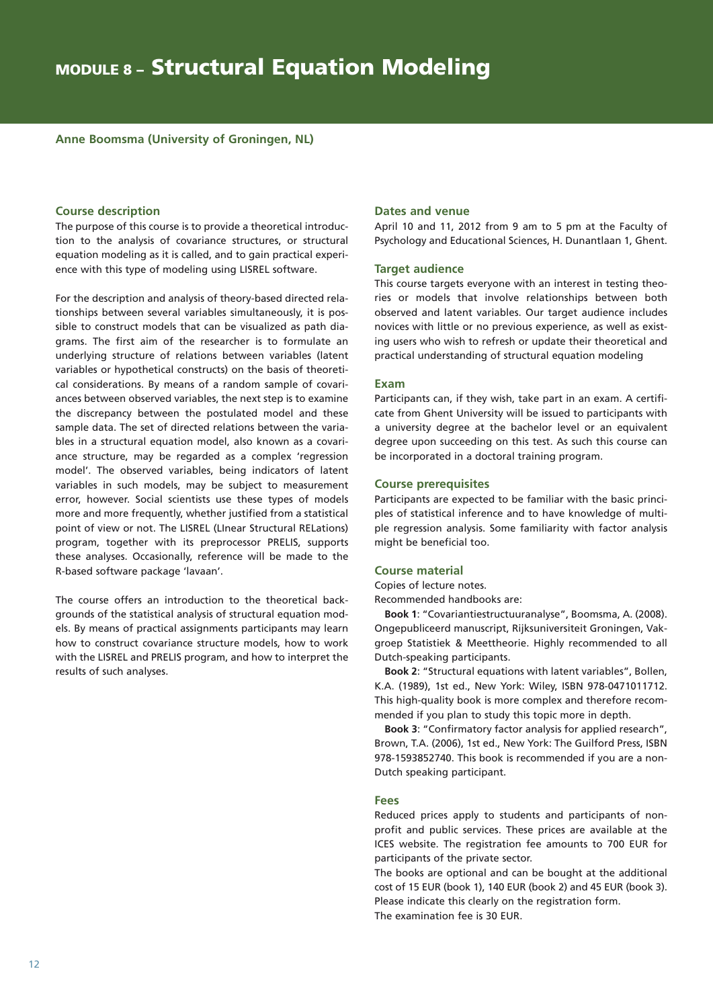#### **Anne Boomsma (University of Groningen, NL)**

#### **Course description**

The purpose of this course is to provide a theoretical introduction to the analysis of covariance structures, or structural equation modeling as it is called, and to gain practical experience with this type of modeling using LISREL software.

For the description and analysis of theory-based directed relationships between several variables simultaneously, it is possible to construct models that can be visualized as path diagrams. The first aim of the researcher is to formulate an underlying structure of relations between variables (latent variables or hypothetical constructs) on the basis of theoretical considerations. By means of a random sample of covariances between observed variables, the next step is to examine the discrepancy between the postulated model and these sample data. The set of directed relations between the variables in a structural equation model, also known as a covariance structure, may be regarded as a complex 'regression model'. The observed variables, being indicators of latent variables in such models, may be subject to measurement error, however. Social scientists use these types of models more and more frequently, whether justified from a statistical point of view or not. The LISREL (LInear Structural RELations) program, together with its preprocessor PRELIS, supports these analyses. Occasionally, reference will be made to the R-based software package 'lavaan'.

The course offers an introduction to the theoretical backgrounds of the statistical analysis of structural equation models. By means of practical assignments participants may learn how to construct covariance structure models, how to work with the LISREL and PRELIS program, and how to interpret the results of such analyses.

#### **Dates and venue**

April 10 and 11, 2012 from 9 am to 5 pm at the Faculty of Psychology and Educational Sciences, H. Dunantlaan 1, Ghent.

#### **Target audience**

This course targets everyone with an interest in testing theories or models that involve relationships between both observed and latent variables. Our target audience includes novices with little or no previous experience, as well as existing users who wish to refresh or update their theoretical and practical understanding of structural equation modeling

#### **Exam**

Participants can, if they wish, take part in an exam. A certificate from Ghent University will be issued to participants with a university degree at the bachelor level or an equivalent degree upon succeeding on this test. As such this course can be incorporated in a doctoral training program.

#### **Course prerequisites**

Participants are expected to be familiar with the basic principles of statistical inference and to have knowledge of multiple regression analysis. Some familiarity with factor analysis might be beneficial too.

#### **Course material**

Copies of lecture notes.

Recommended handbooks are:

**Book 1**: "Covariantiestructuuranalyse", Boomsma, A. (2008). Ongepubliceerd manuscript, Rijksuniversiteit Groningen, Vakgroep Statistiek & Meettheorie. Highly recommended to all Dutch-speaking participants.

**Book 2**: "Structural equations with latent variables", Bollen, K.A. (1989), 1st ed., New York: Wiley, ISBN 978-0471011712. This high-quality book is more complex and therefore recommended if you plan to study this topic more in depth.

**Book 3**: "Confirmatory factor analysis for applied research", Brown, T.A. (2006), 1st ed., New York: The Guilford Press, ISBN 978-1593852740. This book is recommended if you are a non-Dutch speaking participant.

#### **Fees**

Reduced prices apply to students and participants of nonprofit and public services. These prices are available at the ICES website. The registration fee amounts to 700 EUR for participants of the private sector.

The books are optional and can be bought at the additional cost of 15 EUR (book 1), 140 EUR (book 2) and 45 EUR (book 3). Please indicate this clearly on the registration form. The examination fee is 30 EUR.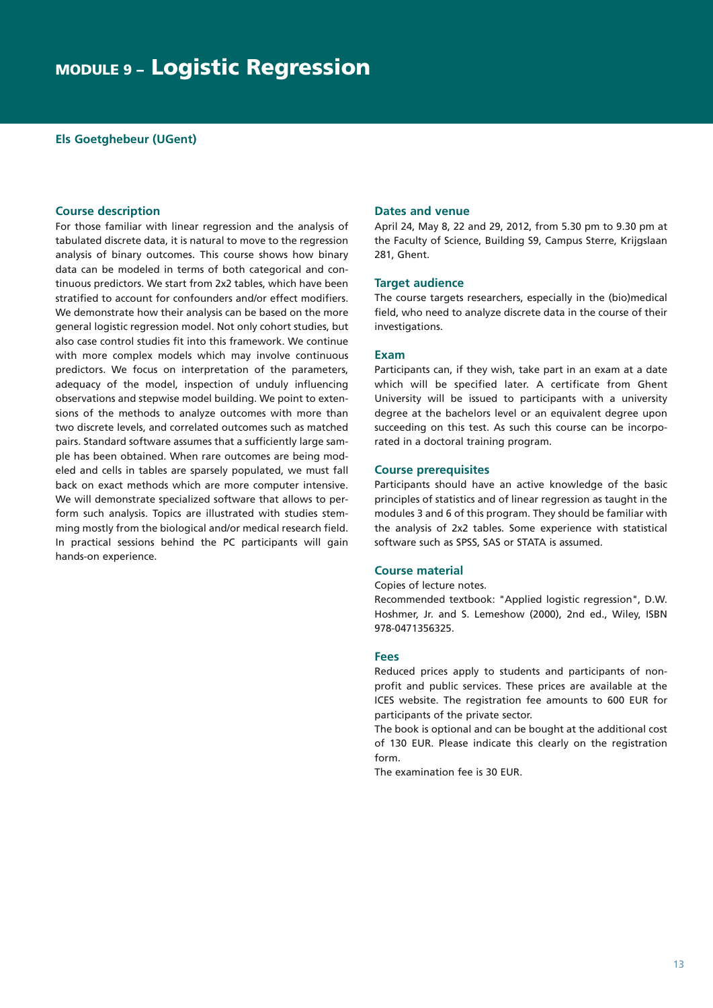#### **Els Goetghebeur (UGent)**

#### **Course description**

For those familiar with linear regression and the analysis of tabulated discrete data, it is natural to move to the regression analysis of binary outcomes. This course shows how binary data can be modeled in terms of both categorical and continuous predictors. We start from 2x2 tables, which have been stratified to account for confounders and/or effect modifiers. We demonstrate how their analysis can be based on the more general logistic regression model. Not only cohort studies, but also case control studies fit into this framework. We continue with more complex models which may involve continuous predictors. We focus on interpretation of the parameters, adequacy of the model, inspection of unduly influencing observations and stepwise model building. We point to extensions of the methods to analyze outcomes with more than two discrete levels, and correlated outcomes such as matched pairs. Standard software assumes that a sufficiently large sample has been obtained. When rare outcomes are being modeled and cells in tables are sparsely populated, we must fall back on exact methods which are more computer intensive. We will demonstrate specialized software that allows to perform such analysis. Topics are illustrated with studies stemming mostly from the biological and/or medical research field. In practical sessions behind the PC participants will gain hands-on experience.

#### **Dates and venue**

April 24, May 8, 22 and 29, 2012, from 5.30 pm to 9.30 pm at the Faculty of Science, Building S9, Campus Sterre, Krijgslaan 281, Ghent.

#### **Target audience**

The course targets researchers, especially in the (bio)medical field, who need to analyze discrete data in the course of their investigations.

#### **Exam**

Participants can, if they wish, take part in an exam at a date which will be specified later. A certificate from Ghent University will be issued to participants with a university degree at the bachelors level or an equivalent degree upon succeeding on this test. As such this course can be incorporated in a doctoral training program.

#### **Course prerequisites**

Participants should have an active knowledge of the basic principles of statistics and of linear regression as taught in the modules 3 and 6 of this program. They should be familiar with the analysis of 2x2 tables. Some experience with statistical software such as SPSS, SAS or STATA is assumed.

#### **Course material**

Copies of lecture notes.

Recommended textbook: "Applied logistic regression", D.W. Hoshmer, Jr. and S. Lemeshow (2000), 2nd ed., Wiley, ISBN 978-0471356325.

#### **Fees**

Reduced prices apply to students and participants of nonprofit and public services. These prices are available at the ICES website. The registration fee amounts to 600 EUR for participants of the private sector.

The book is optional and can be bought at the additional cost of 130 EUR. Please indicate this clearly on the registration form.

The examination fee is 30 EUR.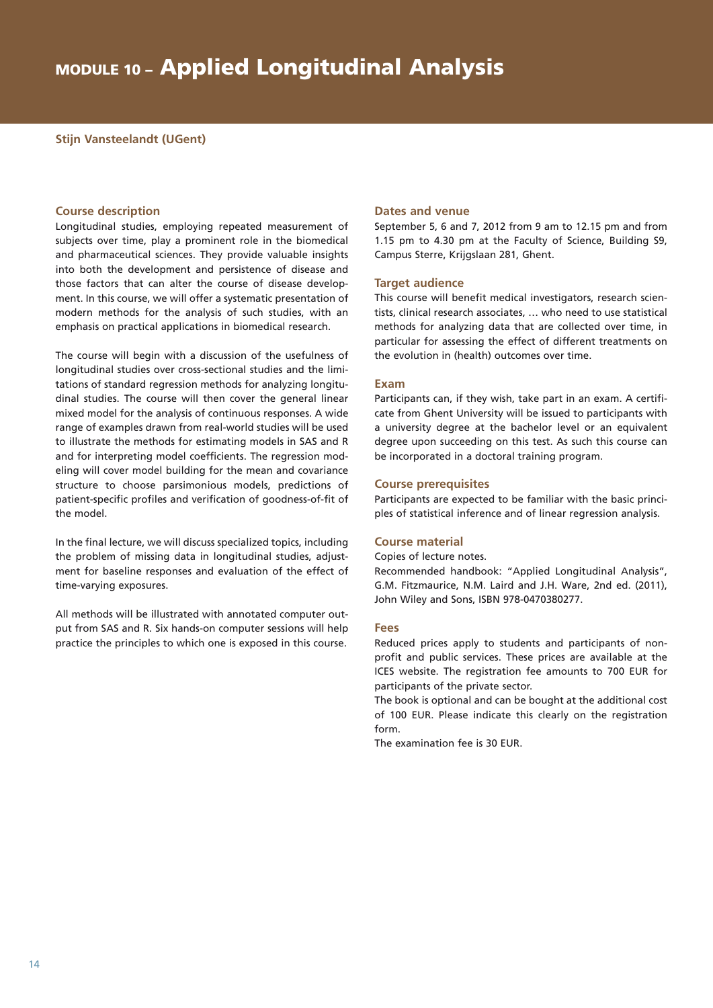#### **Stijn Vansteelandt (UGent)**

#### **Course description**

Longitudinal studies, employing repeated measurement of subjects over time, play a prominent role in the biomedical and pharmaceutical sciences. They provide valuable insights into both the development and persistence of disease and those factors that can alter the course of disease development. In this course, we will offer a systematic presentation of modern methods for the analysis of such studies, with an emphasis on practical applications in biomedical research.

The course will begin with a discussion of the usefulness of longitudinal studies over cross-sectional studies and the limitations of standard regression methods for analyzing longitudinal studies. The course will then cover the general linear mixed model for the analysis of continuous responses. A wide range of examples drawn from real-world studies will be used to illustrate the methods for estimating models in SAS and R and for interpreting model coefficients. The regression modeling will cover model building for the mean and covariance structure to choose parsimonious models, predictions of patient-specific profiles and verification of goodness-of-fit of the model.

In the final lecture, we will discuss specialized topics, including the problem of missing data in longitudinal studies, adjustment for baseline responses and evaluation of the effect of time-varying exposures.

All methods will be illustrated with annotated computer output from SAS and R. Six hands-on computer sessions will help practice the principles to which one is exposed in this course.

#### **Dates and venue**

September 5, 6 and 7, 2012 from 9 am to 12.15 pm and from 1.15 pm to 4.30 pm at the Faculty of Science, Building S9, Campus Sterre, Krijgslaan 281, Ghent.

#### **Target audience**

This course will benefit medical investigators, research scientists, clinical research associates, … who need to use statistical methods for analyzing data that are collected over time, in particular for assessing the effect of different treatments on the evolution in (health) outcomes over time.

#### **Exam**

Participants can, if they wish, take part in an exam. A certificate from Ghent University will be issued to participants with a university degree at the bachelor level or an equivalent degree upon succeeding on this test. As such this course can be incorporated in a doctoral training program.

#### **Course prerequisites**

Participants are expected to be familiar with the basic principles of statistical inference and of linear regression analysis.

#### **Course material**

Copies of lecture notes.

Recommended handbook: "Applied Longitudinal Analysis", G.M. Fitzmaurice, N.M. Laird and J.H. Ware, 2nd ed. (2011), John Wiley and Sons, ISBN 978-0470380277.

#### **Fees**

Reduced prices apply to students and participants of nonprofit and public services. These prices are available at the ICES website. The registration fee amounts to 700 EUR for participants of the private sector.

The book is optional and can be bought at the additional cost of 100 EUR. Please indicate this clearly on the registration form.

The examination fee is 30 EUR.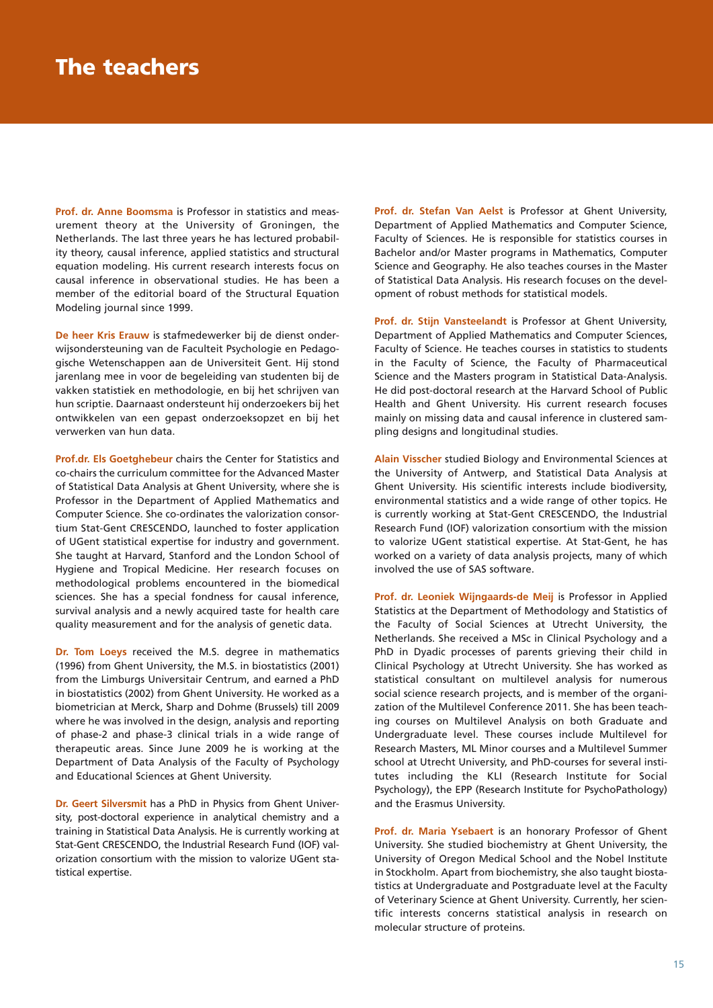Prof. dr. Anne Boomsma is Professor in statistics and measurement theory at the University of Groningen, the Netherlands. The last three years he has lectured probability theory, causal inference, applied statistics and structural equation modeling. His current research interests focus on causal inference in observational studies. He has been a member of the editorial board of the Structural Equation Modeling journal since 1999.

**De heer Kris Erauw** is stafmedewerker bij de dienst onderwijsondersteuning van de Faculteit Psychologie en Pedagogische Wetenschappen aan de Universiteit Gent. Hij stond jarenlang mee in voor de begeleiding van studenten bij de vakken statistiek en methodologie, en bij het schrijven van hun scriptie. Daarnaast ondersteunt hij onderzoekers bij het ontwikkelen van een gepast onderzoeksopzet en bij het verwerken van hun data.

**Prof.dr. Els Goetghebeur** chairs the Center for Statistics and co-chairs the curriculum committee for the Advanced Master of Statistical Data Analysis at Ghent University, where she is Professor in the Department of Applied Mathematics and Computer Science. She co-ordinates the valorization consortium Stat-Gent CRESCENDO, launched to foster application of UGent statistical expertise for industry and government. She taught at Harvard, Stanford and the London School of Hygiene and Tropical Medicine. Her research focuses on methodological problems encountered in the biomedical sciences. She has a special fondness for causal inference, survival analysis and a newly acquired taste for health care quality measurement and for the analysis of genetic data.

**Dr. Tom Loeys** received the M.S. degree in mathematics (1996) from Ghent University, the M.S. in biostatistics (2001) from the Limburgs Universitair Centrum, and earned a PhD in biostatistics (2002) from Ghent University. He worked as a biometrician at Merck, Sharp and Dohme (Brussels) till 2009 where he was involved in the design, analysis and reporting of phase-2 and phase-3 clinical trials in a wide range of therapeutic areas. Since June 2009 he is working at the Department of Data Analysis of the Faculty of Psychology and Educational Sciences at Ghent University.

**Dr. Geert Silversmit** has a PhD in Physics from Ghent University, post-doctoral experience in analytical chemistry and a training in Statistical Data Analysis. He is currently working at Stat-Gent CRESCENDO, the Industrial Research Fund (IOF) valorization consortium with the mission to valorize UGent statistical expertise.

**Prof. dr. Stefan Van Aelst** is Professor at Ghent University, Department of Applied Mathematics and Computer Science, Faculty of Sciences. He is responsible for statistics courses in Bachelor and/or Master programs in Mathematics, Computer Science and Geography. He also teaches courses in the Master of Statistical Data Analysis. His research focuses on the development of robust methods for statistical models.

**Prof. dr. Stijn Vansteelandt** is Professor at Ghent University, Department of Applied Mathematics and Computer Sciences, Faculty of Science. He teaches courses in statistics to students in the Faculty of Science, the Faculty of Pharmaceutical Science and the Masters program in Statistical Data-Analysis. He did post-doctoral research at the Harvard School of Public Health and Ghent University. His current research focuses mainly on missing data and causal inference in clustered sampling designs and longitudinal studies.

**Alain Visscher** studied Biology and Environmental Sciences at the University of Antwerp, and Statistical Data Analysis at Ghent University. His scientific interests include biodiversity, environmental statistics and a wide range of other topics. He is currently working at Stat-Gent CRESCENDO, the Industrial Research Fund (IOF) valorization consortium with the mission to valorize UGent statistical expertise. At Stat-Gent, he has worked on a variety of data analysis projects, many of which involved the use of SAS software.

**Prof. dr. Leoniek Wijngaards-de Meij** is Professor in Applied Statistics at the Department of Methodology and Statistics of the Faculty of Social Sciences at Utrecht University, the Netherlands. She received a MSc in Clinical Psychology and a PhD in Dyadic processes of parents grieving their child in Clinical Psychology at Utrecht University. She has worked as statistical consultant on multilevel analysis for numerous social science research projects, and is member of the organization of the Multilevel Conference 2011. She has been teaching courses on Multilevel Analysis on both Graduate and Undergraduate level. These courses include Multilevel for Research Masters, ML Minor courses and a Multilevel Summer school at Utrecht University, and PhD-courses for several institutes including the KLI (Research Institute for Social Psychology), the EPP (Research Institute for PsychoPathology) and the Erasmus University.

**Prof. dr. Maria Ysebaert** is an honorary Professor of Ghent University. She studied biochemistry at Ghent University, the University of Oregon Medical School and the Nobel Institute in Stockholm. Apart from biochemistry, she also taught biostatistics at Undergraduate and Postgraduate level at the Faculty of Veterinary Science at Ghent University. Currently, her scientific interests concerns statistical analysis in research on molecular structure of proteins.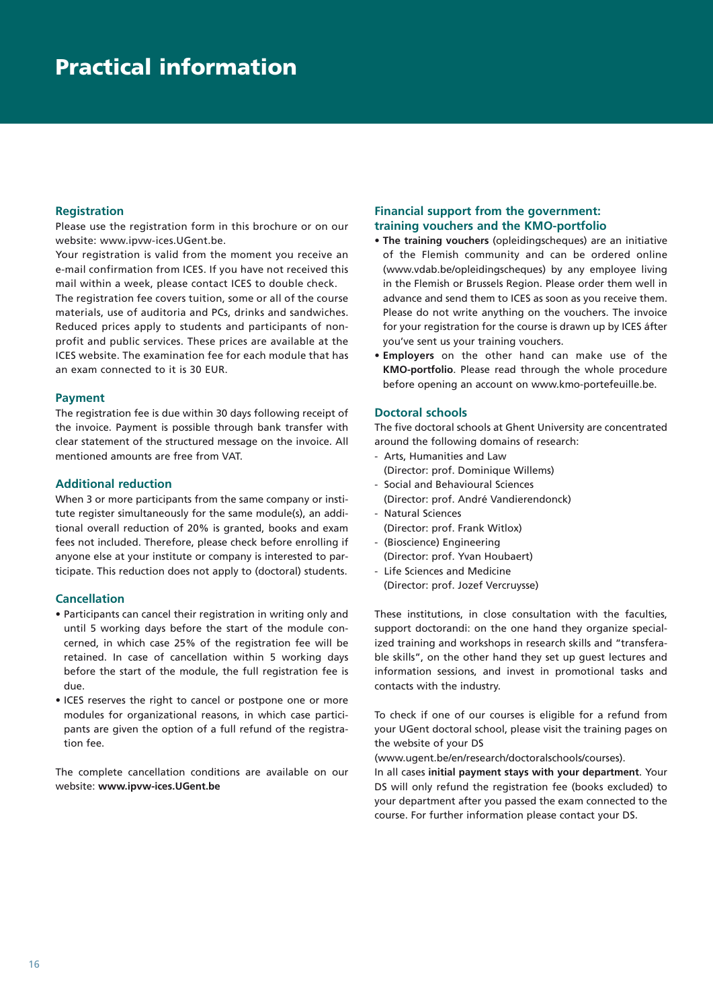#### **Registration**

Please use the registration form in this brochure or on our website: www.ipvw-ices.UGent.be.

Your registration is valid from the moment you receive an e-mail confirmation from ICES. If you have not received this mail within a week, please contact ICES to double check.

The registration fee covers tuition, some or all of the course materials, use of auditoria and PCs, drinks and sandwiches. Reduced prices apply to students and participants of nonprofit and public services. These prices are available at the ICES website. The examination fee for each module that has an exam connected to it is 30 EUR.

#### **Payment**

The registration fee is due within 30 days following receipt of the invoice. Payment is possible through bank transfer with clear statement of the structured message on the invoice. All mentioned amounts are free from VAT.

#### **Additional reduction**

When 3 or more participants from the same company or institute register simultaneously for the same module(s), an additional overall reduction of 20% is granted, books and exam fees not included. Therefore, please check before enrolling if anyone else at your institute or company is interested to participate. This reduction does not apply to (doctoral) students.

#### **Cancellation**

- Participants can cancel their registration in writing only and until 5 working days before the start of the module concerned, in which case 25% of the registration fee will be retained. In case of cancellation within 5 working days before the start of the module, the full registration fee is due.
- ICES reserves the right to cancel or postpone one or more modules for organizational reasons, in which case participants are given the option of a full refund of the registration fee.

The complete cancellation conditions are available on our website: **www.ipvw-ices.UGent.be**

#### **Financial support from the government: training vouchers and the KMO-portfolio**

- **The training vouchers** (opleidingscheques) are an initiative of the Flemish community and can be ordered online (www.vdab.be/opleidingscheques) by any employee living in the Flemish or Brussels Region. Please order them well in advance and send them to ICES as soon as you receive them. Please do not write anything on the vouchers. The invoice for your registration for the course is drawn up by ICES áfter you've sent us your training vouchers.
- **Employers** on the other hand can make use of the **KMO-portfolio**. Please read through the whole procedure before opening an account on www.kmo-portefeuille.be.

#### **Doctoral schools**

The five doctoral schools at Ghent University are concentrated around the following domains of research:

- Arts, Humanities and Law
- (Director: prof. Dominique Willems)
- Social and Behavioural Sciences (Director: prof. André Vandierendonck)
- Natural Sciences
- (Director: prof. Frank Witlox)
- (Bioscience) Engineering (Director: prof. Yvan Houbaert)
- Life Sciences and Medicine (Director: prof. Jozef Vercruysse)

These institutions, in close consultation with the faculties, support doctorandi: on the one hand they organize specialized training and workshops in research skills and "transferable skills", on the other hand they set up guest lectures and information sessions, and invest in promotional tasks and contacts with the industry.

To check if one of our courses is eligible for a refund from your UGent doctoral school, please visit the training pages on the website of your DS

(www.ugent.be/en/research/doctoralschools/courses).

In all cases **initial payment stays with your department**. Your DS will only refund the registration fee (books excluded) to your department after you passed the exam connected to the course. For further information please contact your DS.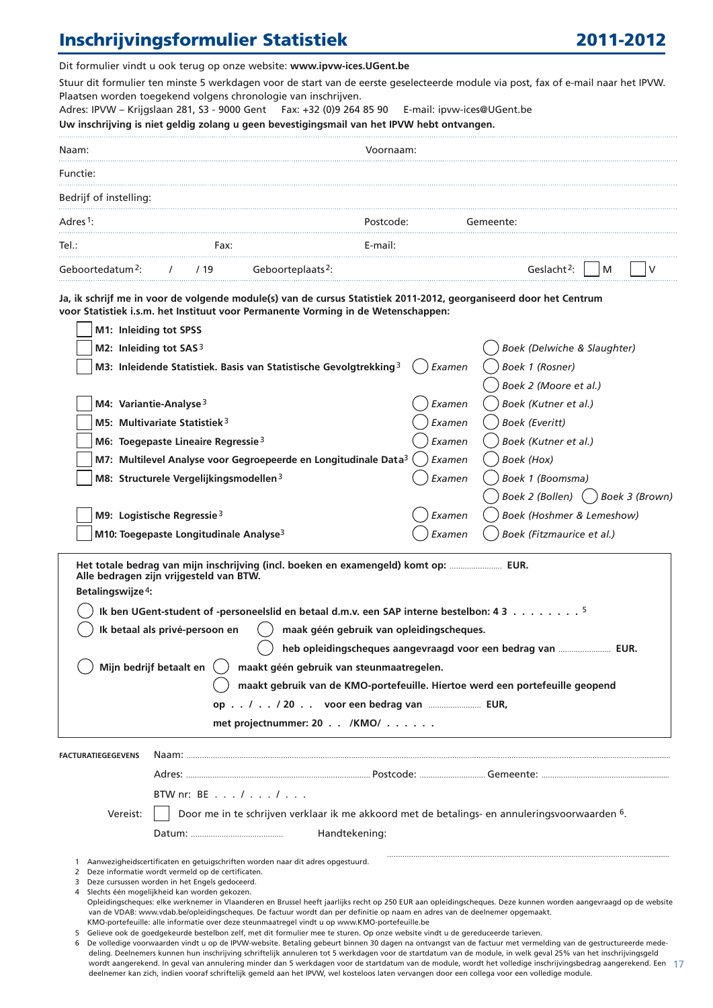### Inschrijvingsformulier Statistiek 2011-2012

Dit formulier vindt u ook terug op onze website: **www.ipvw-ices.UGent.be** 

Stuur dit formulier ten minste 5 werkdagen voor de start van de eerste geselecteerde module via post, fax of e-mail naar het IPVW. Plaatsen worden toegekend volgens chronologie van inschrijven.

Adres: IPVW – Krijgslaan 281, S3 - 9000 Gent Fax: +32 (0)9 264 85 90 E-mail: ipvw-ices@UGent.be

**Uw inschrijving is niet geldig zolang u geen bevestigingsmail van het IPVW hebt ontvangen.** 

| Naam:                        |      |                               | Voornaam: |           |                         |     |  |
|------------------------------|------|-------------------------------|-----------|-----------|-------------------------|-----|--|
| Functie:                     |      |                               |           |           |                         |     |  |
| Bedrijf of instelling:       |      |                               |           |           |                         |     |  |
| Adres <sup>1</sup> :         |      |                               | Postcode: | Gemeente: |                         |     |  |
| Tel.:                        | Fax: |                               | E-mail:   |           |                         |     |  |
| Geboortedatum <sup>2</sup> : | /19  | Geboorteplaats <sup>2</sup> : |           |           | Geslacht <sup>2</sup> : | IM. |  |

**Ja, ik schrijf me in voor de volgende module(s) van de cursus Statistiek 2011-2012, georganiseerd door het Centrum voor Statistiek i.s.m. het Instituut voor Permanente Vorming in de Wetenschappen:**

| M1: Inleiding tot SPSS                                                                                                                                                                                                                                                                                                                                                                                                                                               |                                                                                                                                         |        |                                    |  |  |  |  |
|----------------------------------------------------------------------------------------------------------------------------------------------------------------------------------------------------------------------------------------------------------------------------------------------------------------------------------------------------------------------------------------------------------------------------------------------------------------------|-----------------------------------------------------------------------------------------------------------------------------------------|--------|------------------------------------|--|--|--|--|
| M2: Inleiding tot SAS <sup>3</sup>                                                                                                                                                                                                                                                                                                                                                                                                                                   |                                                                                                                                         |        | Boek (Delwiche & Slaughter)        |  |  |  |  |
|                                                                                                                                                                                                                                                                                                                                                                                                                                                                      | M3: Inleidende Statistiek. Basis van Statistische Gevolgtrekking <sup>3</sup>                                                           | Examen | Boek 1 (Rosner)                    |  |  |  |  |
|                                                                                                                                                                                                                                                                                                                                                                                                                                                                      |                                                                                                                                         |        | Boek 2 (Moore et al.)              |  |  |  |  |
|                                                                                                                                                                                                                                                                                                                                                                                                                                                                      | M4: Variantie-Analyse $3$                                                                                                               | Examen | Boek (Kutner et al.)               |  |  |  |  |
|                                                                                                                                                                                                                                                                                                                                                                                                                                                                      | M5: Multivariate Statistiek <sup>3</sup>                                                                                                | Examen | <b>Boek (Everitt)</b>              |  |  |  |  |
|                                                                                                                                                                                                                                                                                                                                                                                                                                                                      | M6: Toegepaste Lineaire Regressie <sup>3</sup>                                                                                          | Examen | Boek (Kutner et al.)               |  |  |  |  |
|                                                                                                                                                                                                                                                                                                                                                                                                                                                                      | M7: Multilevel Analyse voor Gegroepeerde en Longitudinale Data <sup>3 (</sup>                                                           | Examen | Boek (Hox)                         |  |  |  |  |
|                                                                                                                                                                                                                                                                                                                                                                                                                                                                      | M8: Structurele Vergelijkingsmodellen <sup>3</sup>                                                                                      | Examen | Boek 1 (Boomsma)                   |  |  |  |  |
|                                                                                                                                                                                                                                                                                                                                                                                                                                                                      |                                                                                                                                         |        | Boek 2 (Bollen) ( ) Boek 3 (Brown) |  |  |  |  |
|                                                                                                                                                                                                                                                                                                                                                                                                                                                                      | M9: Logistische Regressie <sup>3</sup>                                                                                                  | Examen | Boek (Hoshmer & Lemeshow)          |  |  |  |  |
|                                                                                                                                                                                                                                                                                                                                                                                                                                                                      | M10: Toegepaste Longitudinale Analyse <sup>3</sup>                                                                                      | Examen | Boek (Fitzmaurice et al.)          |  |  |  |  |
| 1 Ik ben UGent-student of -personeelslid en betaal d.m.v. een SAP interne bestelbon: 4 3 5<br>Ik betaal als privé-persoon en<br>maak géén gebruik van opleidingscheques.<br>heb opleidingscheques aangevraagd voor een bedrag van  EUR.<br>Mijn bedrijf betaalt en<br>maakt géén gebruik van steunmaatregelen.<br>maakt gebruik van de KMO-portefeuille. Hiertoe werd een portefeuille geopend<br>op / / 20 voor een bedrag van  EUR,<br>met projectnummer: 20 /KMO/ |                                                                                                                                         |        |                                    |  |  |  |  |
| <b>FACTURATIEGEGEVENS</b>                                                                                                                                                                                                                                                                                                                                                                                                                                            |                                                                                                                                         |        |                                    |  |  |  |  |
|                                                                                                                                                                                                                                                                                                                                                                                                                                                                      |                                                                                                                                         |        |                                    |  |  |  |  |
|                                                                                                                                                                                                                                                                                                                                                                                                                                                                      | BTW nr: BE $\ldots$ / $\ldots$ / $\ldots$                                                                                               |        |                                    |  |  |  |  |
| Vereist:                                                                                                                                                                                                                                                                                                                                                                                                                                                             | Door me in te schrijven verklaar ik me akkoord met de betalings- en annuleringsvoorwaarden 6.                                           |        |                                    |  |  |  |  |
|                                                                                                                                                                                                                                                                                                                                                                                                                                                                      | Handtekening:                                                                                                                           |        |                                    |  |  |  |  |
|                                                                                                                                                                                                                                                                                                                                                                                                                                                                      |                                                                                                                                         |        |                                    |  |  |  |  |
|                                                                                                                                                                                                                                                                                                                                                                                                                                                                      | 1 Aanwezigheidscertificaten en getuigschriften worden naar dit adres opgestuurd.<br>2 Deze informatie wordt vermeld op de certificaten. |        |                                    |  |  |  |  |

- 3 Deze cursussen worden in het Engels gedoceerd.
- 4 Slechts één mogelijkheid kan worden gekozen.
- Opleidingscheques: elke werknemer in Vlaanderen en Brussel heeft jaarlijks recht op 250 EUR aan opleidingscheques. Deze kunnen worden aangevraagd op de website van de VDAB: www.vdab.be/opleidingscheques. De factuur wordt dan per definitie op naam en adres van de deelnemer opgemaakt. KMO-portefeuille: alle informatie over deze steunmaatregel vindt u op www.KMO-portefeuille.be
- 
- 5 Gelieve ook de goedgekeurde bestelbon zelf, met dit formulier mee te sturen. Op onze website vindt u de gereduceerde tarieven.
- wordt aangerekend. In geval van annulering minder dan 5 werkdagen voor de startdatum van de module, wordt het volledige inschrijvingsbedrag aangerekend. Een  $\,$  17  $\,$ 6 De volledige voorwaarden vindt u op de IPVW-website. Betaling gebeurt binnen 30 dagen na ontvangst van de factuur met vermelding van de gestructureerde mededeling. Deelnemers kunnen hun inschrijving schriftelijk annuleren tot 5 werkdagen voor de startdatum van de module, in welk geval 25% van het inschrijvingsgeld deelnemer kan zich, indien vooraf schriftelijk gemeld aan het IPVW, wel kosteloos laten vervangen door een collega voor een volledige module.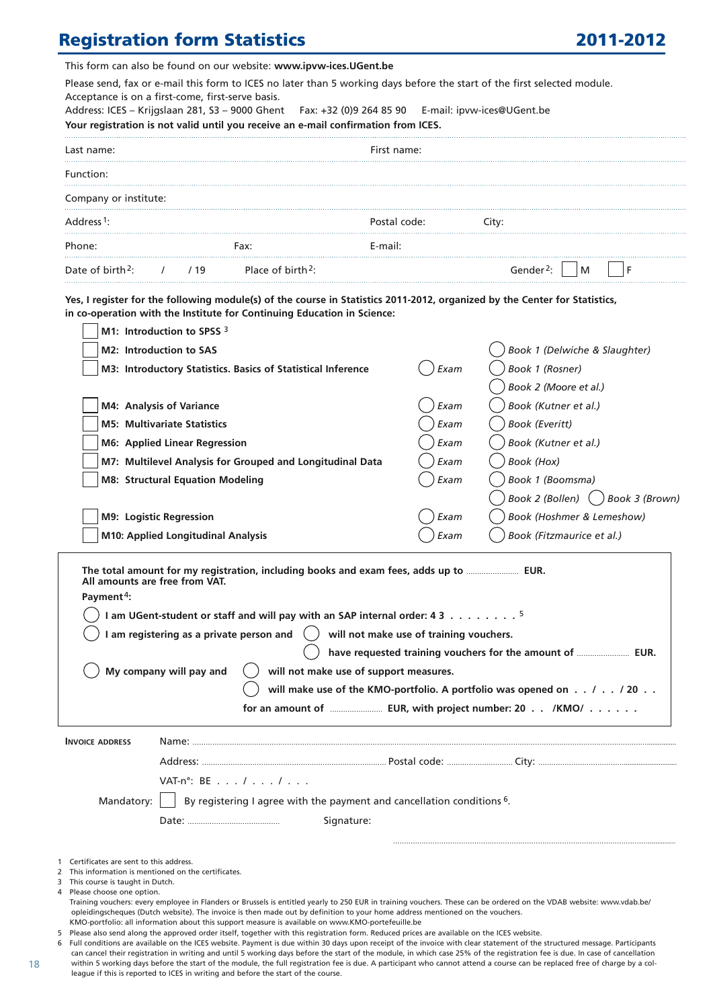### **Registration form Statistics 2011-2012**

This form can also be found on our website: **www.ipvw-ices.UGent.be** 

Please send, fax or e-mail this form to ICES no later than 5 working days before the start of the first selected module. Acceptance is on a first-come, first-serve basis.

Address: ICES – Krijgslaan 281, S3 – 9000 Ghent Fax: +32 (0)9 264 85 90 E-mail: ipvw-ices@UGent.be **Your registration is not valid until you receive an e-mail confirmation from ICES.** 

| Last name:                   |      |                               | First name:  |                            |  |
|------------------------------|------|-------------------------------|--------------|----------------------------|--|
| Function:                    |      |                               |              |                            |  |
| Company or institute:        |      |                               |              |                            |  |
| Address <sup>1</sup> :       |      |                               | Postal code: | Citv:                      |  |
| Phone:                       |      | Fax:                          | E-mail:      |                            |  |
| Date of birth <sup>2</sup> : | 1/19 | Place of birth <sup>2</sup> : |              | Gender <sup>2</sup> :<br>M |  |

**Yes, I register for the following module(s) of the course in Statistics 2011-2012, organized by the Center for Statistics, in co-operation with the Institute for Continuing Education in Science:**

| M1: Introduction to SPSS $3$                                                                                                                      |                                                                                              |                                         |  |  |  |  |
|---------------------------------------------------------------------------------------------------------------------------------------------------|----------------------------------------------------------------------------------------------|-----------------------------------------|--|--|--|--|
| M2: Introduction to SAS                                                                                                                           |                                                                                              | Book 1 (Delwiche & Slaughter)           |  |  |  |  |
| M3: Introductory Statistics. Basics of Statistical Inference                                                                                      | Exam                                                                                         | Book 1 (Rosner)                         |  |  |  |  |
|                                                                                                                                                   |                                                                                              | Book 2 (Moore et al.)                   |  |  |  |  |
| M4: Analysis of Variance                                                                                                                          | Exam                                                                                         | Book (Kutner et al.)                    |  |  |  |  |
| <b>M5: Multivariate Statistics</b>                                                                                                                | Exam                                                                                         | <b>Book (Everitt)</b>                   |  |  |  |  |
| <b>M6: Applied Linear Regression</b>                                                                                                              | Exam                                                                                         | Book (Kutner et al.)                    |  |  |  |  |
| M7: Multilevel Analysis for Grouped and Longitudinal Data                                                                                         | Exam                                                                                         | Book (Hox)                              |  |  |  |  |
| <b>M8: Structural Equation Modeling</b>                                                                                                           | Exam                                                                                         | Book 1 (Boomsma)                        |  |  |  |  |
|                                                                                                                                                   |                                                                                              | Book 2 (Bollen) $( )$<br>Book 3 (Brown) |  |  |  |  |
| M9: Logistic Regression                                                                                                                           | Exam                                                                                         | Book (Hoshmer & Lemeshow)               |  |  |  |  |
| M10: Applied Longitudinal Analysis                                                                                                                | Exam                                                                                         | Book (Fitzmaurice et al.)               |  |  |  |  |
| The total amount for my registration, including books and exam fees, adds up to  EUR.<br>All amounts are free from VAT.<br>Payment <sup>4</sup> : |                                                                                              |                                         |  |  |  |  |
|                                                                                                                                                   | 1 am UGent-student or staff and will pay with an SAP internal order: 4 3 $\dots \dots \dots$ |                                         |  |  |  |  |
| am registering as a private person and<br>will not make use of training vouchers.                                                                 |                                                                                              |                                         |  |  |  |  |
| have requested training vouchers for the amount of  EUR.                                                                                          |                                                                                              |                                         |  |  |  |  |
|                                                                                                                                                   |                                                                                              |                                         |  |  |  |  |

() My company will pay and  $\qquad$  will not make use of support measures.

 **will make use of the KMO-portfolio. A portfolio was opened on . . / . . / 20 . .** 

 **for an amount of** …………………… **EUR, with project number: 20 . . /KMO/ . . . . . .** 

|                             | <b>INVOICE ADDRESS</b>                               | Name:                                                                                                                                                                |  |  |  |  |  |
|-----------------------------|------------------------------------------------------|----------------------------------------------------------------------------------------------------------------------------------------------------------------------|--|--|--|--|--|
|                             |                                                      | Address:                                                                                                                                                             |  |  |  |  |  |
|                             |                                                      | VAT-n <sup>o</sup> : BE $\ldots$ / $\ldots$ / $\ldots$                                                                                                               |  |  |  |  |  |
|                             |                                                      | Mandatory: $\vert \ \vert$ By registering I agree with the payment and cancellation conditions 6.                                                                    |  |  |  |  |  |
|                             |                                                      | Signature:                                                                                                                                                           |  |  |  |  |  |
|                             |                                                      |                                                                                                                                                                      |  |  |  |  |  |
|                             | 1 Certificates are sent to this address.             |                                                                                                                                                                      |  |  |  |  |  |
|                             | 2 This information is mentioned on the certificates. |                                                                                                                                                                      |  |  |  |  |  |
|                             | 3 This course is taught in Dutch.                    |                                                                                                                                                                      |  |  |  |  |  |
| 4 Please choose one option. |                                                      |                                                                                                                                                                      |  |  |  |  |  |
|                             |                                                      | Training vouchers: every employee in Flanders or Brussels is entitled yearly to 250 EUR in training vouchers. These can be ordered on the VDAB website: www.vdab.be/ |  |  |  |  |  |

opleidingscheques (Dutch website). The invoice is then made out by definition to your home address mentioned on the vouchers.

KMO-portfolio: all information about this support measure is available on www.KMO-portefeuille.be

6 Full conditions are available on the ICES website. Payment is due within 30 days upon receipt of the invoice with clear statement of the structured message. Participants can cancel their registration in writing and until 5 working days before the start of the module, in which case 25% of the registration fee is due. In case of cancellation within 5 working days before the start of the module, the full registration fee is due. A participant who cannot attend a course can be replaced free of charge by a colleague if this is reported to ICES in writing and before the start of the course.

<sup>5</sup> Please also send along the approved order itself, together with this registration form. Reduced prices are available on the ICES website.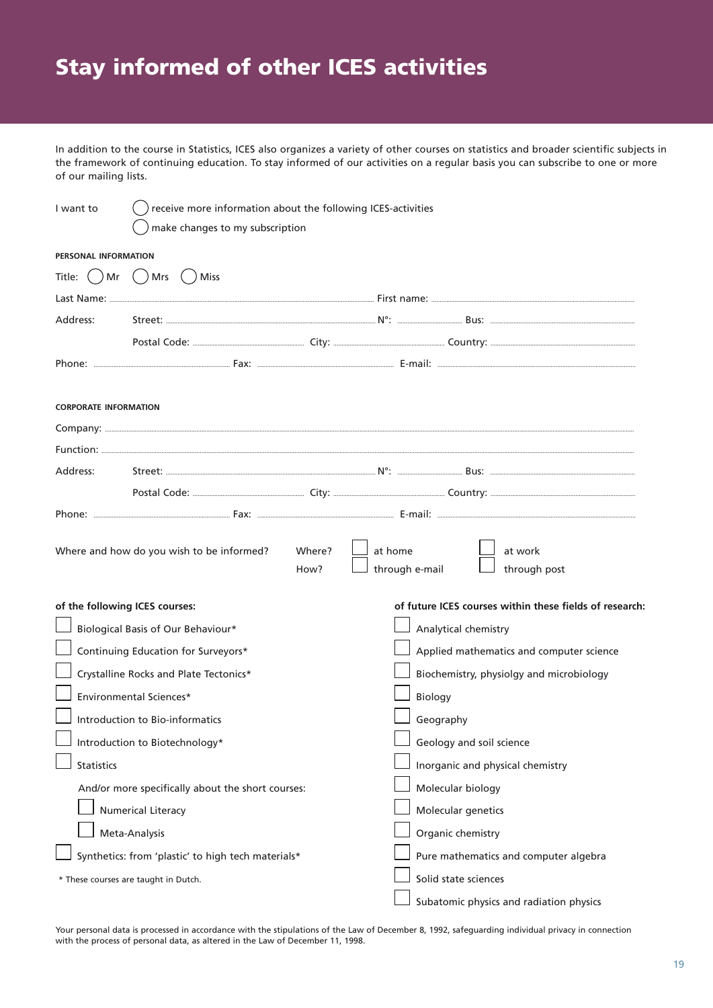## Stay informed of other ICES activities

In addition to the course in Statistics, ICES also organizes a variety of other courses on statistics and broader scientific subjects in the framework of continuing education. To stay informed of our activities on a regular basis you can subscribe to one or more of our mailing lists.

| I want to                       | receive more information about the following ICES-activities |                                                         |  |  |  |
|---------------------------------|--------------------------------------------------------------|---------------------------------------------------------|--|--|--|
|                                 | make changes to my subscription                              |                                                         |  |  |  |
| PERSONAL INFORMATION            |                                                              |                                                         |  |  |  |
| Title: $( )$ Mr $( )$ Mrs $( )$ | <b>Miss</b>                                                  |                                                         |  |  |  |
|                                 |                                                              |                                                         |  |  |  |
| Address:                        |                                                              |                                                         |  |  |  |
|                                 |                                                              |                                                         |  |  |  |
|                                 |                                                              |                                                         |  |  |  |
|                                 |                                                              |                                                         |  |  |  |
| <b>CORPORATE INFORMATION</b>    |                                                              |                                                         |  |  |  |
|                                 |                                                              |                                                         |  |  |  |
|                                 |                                                              |                                                         |  |  |  |
| Address:                        |                                                              |                                                         |  |  |  |
|                                 |                                                              |                                                         |  |  |  |
|                                 |                                                              |                                                         |  |  |  |
|                                 | Where?<br>Where and how do you wish to be informed?<br>How?  | at home<br>at work<br>through e-mail<br>through post    |  |  |  |
| of the following ICES courses:  |                                                              | of future ICES courses within these fields of research: |  |  |  |
|                                 | Biological Basis of Our Behaviour*                           | Analytical chemistry                                    |  |  |  |
|                                 | Continuing Education for Surveyors*                          | Applied mathematics and computer science                |  |  |  |
|                                 | Crystalline Rocks and Plate Tectonics*                       | Biochemistry, physiolgy and microbiology                |  |  |  |
|                                 | Environmental Sciences*                                      | <b>Biology</b>                                          |  |  |  |
|                                 | Introduction to Bio-informatics                              | Geography                                               |  |  |  |
|                                 | Introduction to Biotechnology*                               | Geology and soil science                                |  |  |  |
| Statistics                      |                                                              | Inorganic and physical chemistry                        |  |  |  |
|                                 | And/or more specifically about the short courses:            | Molecular biology                                       |  |  |  |
|                                 | <b>Numerical Literacy</b>                                    | Molecular genetics                                      |  |  |  |
|                                 | Meta-Analysis                                                | Organic chemistry                                       |  |  |  |
|                                 | Synthetics: from 'plastic' to high tech materials*           | Pure mathematics and computer algebra                   |  |  |  |
|                                 | * These courses are taught in Dutch.                         | Solid state sciences                                    |  |  |  |
|                                 |                                                              | Subatomic physics and radiation physics                 |  |  |  |

Your personal data is processed in accordance with the stipulations of the Law of December 8, 1992, safeguarding individual privacy in connection with the process of personal data, as altered in the Law of December 11, 1998.